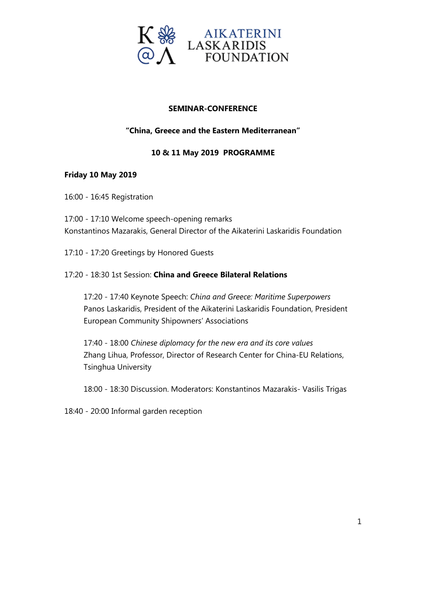

### **SEMINAR-CONFERENCE**

### **"China, Greece and the Eastern Mediterranean"**

#### **10 & 11 May 2019 PROGRAMME**

#### **Friday 10 May 2019**

16:00 - 16:45 Registration

17:00 - 17:10 Welcome speech-opening remarks Konstantinos Mazarakis, General Director of the Aikaterini Laskaridis Foundation

17:10 - 17:20 Greetings by Honored Guests

#### 17:20 - 18:30 1st Session: **China and Greece Bilateral Relations**

17:20 - 17:40 Keynote Speech: *China and Greece: Maritime Superpowers* Panos Laskaridis, President of the Aikaterini Laskaridis Foundation, President European Community Shipowners' Associations

17:40 - 18:00 *Chinese diplomacy for the new era and its core values* Zhang Lihua, Professor, Director of Research Center for China-EU Relations, Tsinghua University

18:00 - 18:30 Discussion. Moderators: Konstantinos Mazarakis- Vasilis Trigas

18:40 - 20:00 Informal garden reception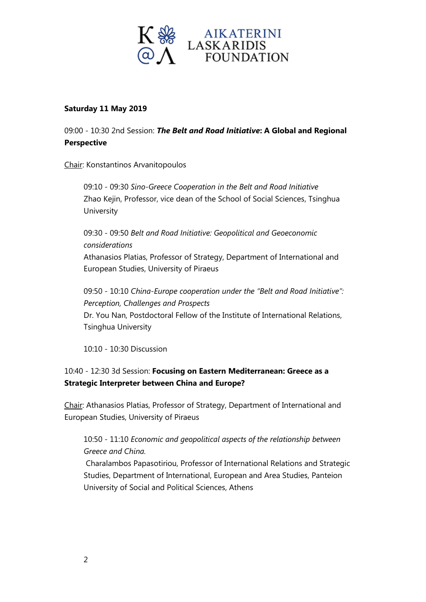

#### **Saturday 11 May 2019**

09:00 - 10:30 2nd Session: *The Belt and Road Initiative***: A Global and Regional Perspective**

Chair: Konstantinos Arvanitopoulos

09:10 - 09:30 *Sino-Greece Cooperation in the Belt and Road Initiative* Zhao Kejin, Professor, vice dean of the School of Social Sciences, Tsinghua **University** 

09:30 - 09:50 *Belt and Road Initiative: Geopolitical and Geoeconomic considerations* Athanasios Platias, Professor of Strategy, Department of International and European Studies, University of Piraeus

09:50 - 10:10 *China-Europe cooperation under the "Belt and Road Initiative": Perception, Challenges and Prospects* Dr. You Nan, Postdoctoral Fellow of the Institute of International Relations, Tsinghua University

10:10 - 10:30 Discussion

### 10:40 - 12:30 3d Session: **Focusing on Eastern Mediterranean: Greece as a Strategic Interpreter between China and Europe?**

Chair: Athanasios Platias, Professor of Strategy, Department of International and European Studies, University of Piraeus

## 10:50 - 11:10 *Economic and geopolitical aspects of the relationship between Greece and China.*

Charalambos Papasotiriou, Professor of International Relations and Strategic Studies, Department of International, European and Area Studies, Panteion University of Social and Political Sciences, Athens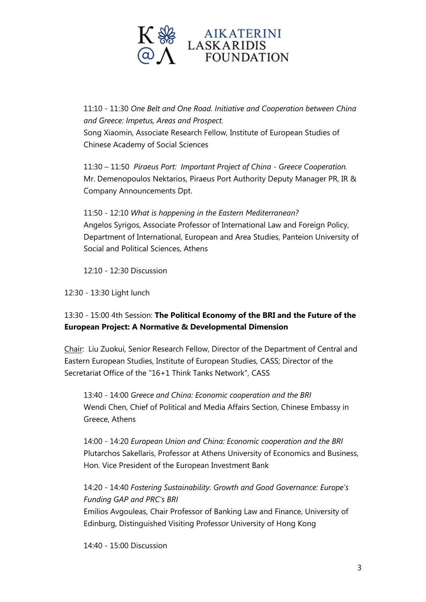

11:10 - 11:30 *One Belt and One Road. Initiative and Cooperation between China and Greece: Impetus, Areas and Prospect.* Song Xiaomin, Associate Research Fellow, Institute of European Studies of Chinese Academy of Social Sciences

11:30 – 11:50 *Piraeus Port: Important Project of China - Greece Cooperation.* Mr. Demenopoulos Nektarios, Piraeus Port Authority Deputy Manager PR, IR & Company Announcements Dpt.

11:50 - 12:10 *What is happening in the Eastern Mediterranean?* Angelos Syrigos, Associate Professor of International Law and Foreign Policy, Department of International, European and Area Studies, Panteion University of Social and Political Sciences, Athens

12:10 - 12:30 Discussion

12:30 - 13:30 Light lunch

## 13:30 - 15:00 4th Session: **The Political Economy of the BRI and the Future of the European Project: A Normative & Developmental Dimension**

Chair: Liu Zuokui, Senior Research Fellow, Director of the Department of Central and Eastern European Studies, Institute of European Studies, CASS; Director of the Secretariat Office of the "16+1 Think Tanks Network", CASS

13:40 - 14:00 *Greece and China: Economic cooperation and the BRI* Wendi Chen, Chief of Political and Media Affairs Section, Chinese Embassy in Greece, Athens

14:00 - 14:20 *European Union and China: Economic cooperation and the BRI* Plutarchos Sakellaris, Professor at Athens University of Economics and Business, Hon. Vice President of the European Investment Bank

14:20 - 14:40 *Fostering Sustainability. Growth and Good Governance: Europe's Funding GAP and PRC's BRI*

Emilios Avgouleas, Chair Professor of Banking Law and Finance, University of Edinburg, Distinguished Visiting Professor University of Hong Kong

14:40 - 15:00 Discussion